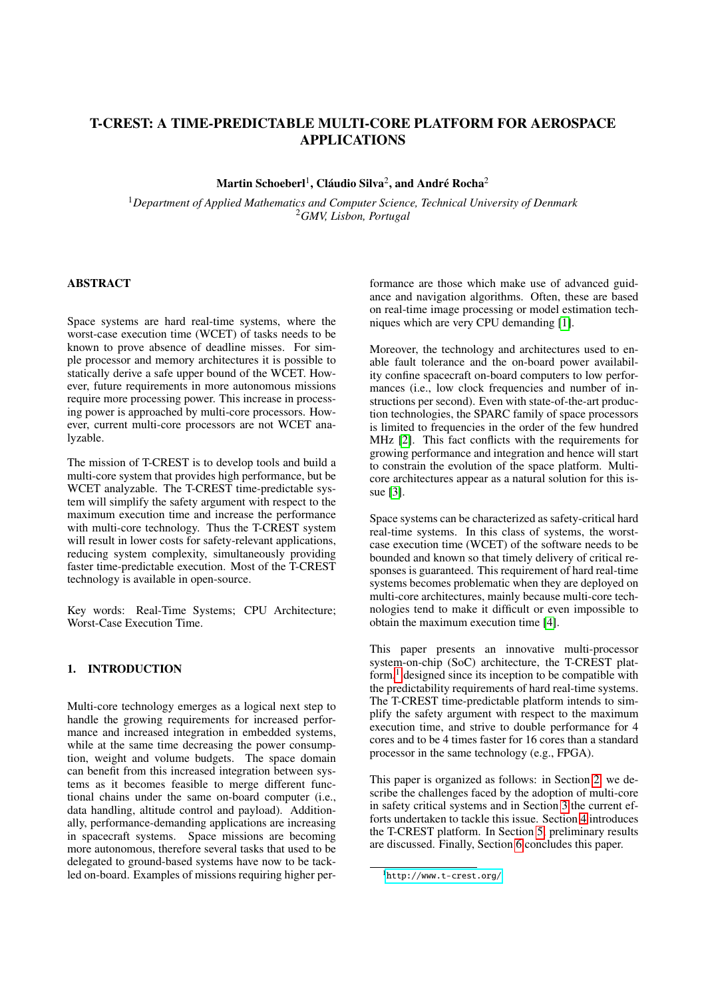# T-CREST: A TIME-PREDICTABLE MULTI-CORE PLATFORM FOR AEROSPACE APPLICATIONS

 $\mathrm{Martin}\ \mathrm{ Schoeberl}^{1}, \mathrm{Cl\'audio}\ \mathrm{Silva}^{2}, \mathrm{and}\ \mathrm{Andr\'e}\ \mathrm{Rocha}^{2}$ 

<sup>1</sup>*Department of Applied Mathematics and Computer Science, Technical University of Denmark* <sup>2</sup>*GMV, Lisbon, Portugal*

## ABSTRACT

Space systems are hard real-time systems, where the worst-case execution time (WCET) of tasks needs to be known to prove absence of deadline misses. For simple processor and memory architectures it is possible to statically derive a safe upper bound of the WCET. However, future requirements in more autonomous missions require more processing power. This increase in processing power is approached by multi-core processors. However, current multi-core processors are not WCET analyzable.

The mission of T-CREST is to develop tools and build a multi-core system that provides high performance, but be WCET analyzable. The T-CREST time-predictable system will simplify the safety argument with respect to the maximum execution time and increase the performance with multi-core technology. Thus the T-CREST system will result in lower costs for safety-relevant applications, reducing system complexity, simultaneously providing faster time-predictable execution. Most of the T-CREST technology is available in open-source.

Key words: Real-Time Systems; CPU Architecture; Worst-Case Execution Time.

## 1. INTRODUCTION

Multi-core technology emerges as a logical next step to handle the growing requirements for increased performance and increased integration in embedded systems, while at the same time decreasing the power consumption, weight and volume budgets. The space domain can benefit from this increased integration between systems as it becomes feasible to merge different functional chains under the same on-board computer (i.e., data handling, altitude control and payload). Additionally, performance-demanding applications are increasing in spacecraft systems. Space missions are becoming more autonomous, therefore several tasks that used to be delegated to ground-based systems have now to be tackled on-board. Examples of missions requiring higher performance are those which make use of advanced guidance and navigation algorithms. Often, these are based on real-time image processing or model estimation techniques which are very CPU demanding [\[1\]](#page-5-0).

Moreover, the technology and architectures used to enable fault tolerance and the on-board power availability confine spacecraft on-board computers to low performances (i.e., low clock frequencies and number of instructions per second). Even with state-of-the-art production technologies, the SPARC family of space processors is limited to frequencies in the order of the few hundred MHz [\[2\]](#page-5-1). This fact conflicts with the requirements for growing performance and integration and hence will start to constrain the evolution of the space platform. Multicore architectures appear as a natural solution for this issue [\[3\]](#page-6-0).

Space systems can be characterized as safety-critical hard real-time systems. In this class of systems, the worstcase execution time (WCET) of the software needs to be bounded and known so that timely delivery of critical responses is guaranteed. This requirement of hard real-time systems becomes problematic when they are deployed on multi-core architectures, mainly because multi-core technologies tend to make it difficult or even impossible to obtain the maximum execution time [\[4\]](#page-6-1).

This paper presents an innovative multi-processor system-on-chip (SoC) architecture, the T-CREST platform, $<sup>1</sup>$  $<sup>1</sup>$  $<sup>1</sup>$  designed since its inception to be compatible with</sup> the predictability requirements of hard real-time systems. The T-CREST time-predictable platform intends to simplify the safety argument with respect to the maximum execution time, and strive to double performance for 4 cores and to be 4 times faster for 16 cores than a standard processor in the same technology (e.g., FPGA).

This paper is organized as follows: in Section [2,](#page-1-0) we describe the challenges faced by the adoption of multi-core in safety critical systems and in Section [3](#page-1-1) the current efforts undertaken to tackle this issue. Section [4](#page-2-0) introduces the T-CREST platform. In Section [5,](#page-4-0) preliminary results are discussed. Finally, Section [6](#page-5-2) concludes this paper.

<span id="page-0-0"></span><sup>1</sup><http://www.t-crest.org/>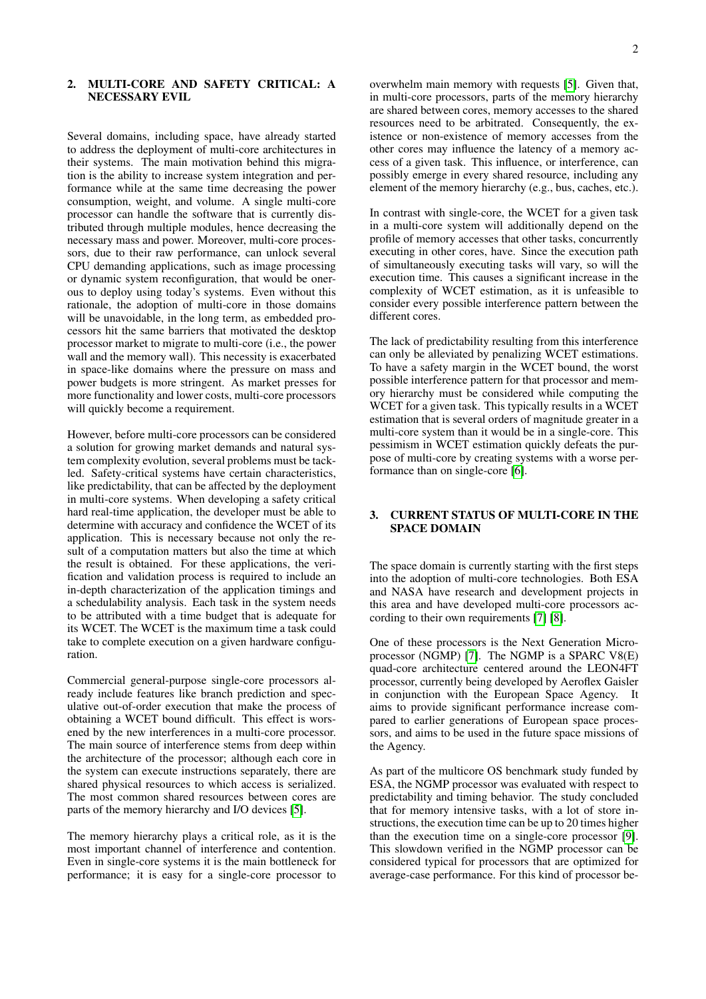## <span id="page-1-0"></span>2. MULTI-CORE AND SAFETY CRITICAL: A NECESSARY EVIL

Several domains, including space, have already started to address the deployment of multi-core architectures in their systems. The main motivation behind this migration is the ability to increase system integration and performance while at the same time decreasing the power consumption, weight, and volume. A single multi-core processor can handle the software that is currently distributed through multiple modules, hence decreasing the necessary mass and power. Moreover, multi-core processors, due to their raw performance, can unlock several CPU demanding applications, such as image processing or dynamic system reconfiguration, that would be onerous to deploy using today's systems. Even without this rationale, the adoption of multi-core in those domains will be unavoidable, in the long term, as embedded processors hit the same barriers that motivated the desktop processor market to migrate to multi-core (i.e., the power wall and the memory wall). This necessity is exacerbated in space-like domains where the pressure on mass and power budgets is more stringent. As market presses for more functionality and lower costs, multi-core processors will quickly become a requirement.

However, before multi-core processors can be considered a solution for growing market demands and natural system complexity evolution, several problems must be tackled. Safety-critical systems have certain characteristics, like predictability, that can be affected by the deployment in multi-core systems. When developing a safety critical hard real-time application, the developer must be able to determine with accuracy and confidence the WCET of its application. This is necessary because not only the result of a computation matters but also the time at which the result is obtained. For these applications, the verification and validation process is required to include an in-depth characterization of the application timings and a schedulability analysis. Each task in the system needs to be attributed with a time budget that is adequate for its WCET. The WCET is the maximum time a task could take to complete execution on a given hardware configuration.

Commercial general-purpose single-core processors already include features like branch prediction and speculative out-of-order execution that make the process of obtaining a WCET bound difficult. This effect is worsened by the new interferences in a multi-core processor. The main source of interference stems from deep within the architecture of the processor; although each core in the system can execute instructions separately, there are shared physical resources to which access is serialized. The most common shared resources between cores are parts of the memory hierarchy and I/O devices [\[5\]](#page-6-2).

The memory hierarchy plays a critical role, as it is the most important channel of interference and contention. Even in single-core systems it is the main bottleneck for performance; it is easy for a single-core processor to overwhelm main memory with requests [\[5\]](#page-6-2). Given that, in multi-core processors, parts of the memory hierarchy are shared between cores, memory accesses to the shared resources need to be arbitrated. Consequently, the existence or non-existence of memory accesses from the other cores may influence the latency of a memory access of a given task. This influence, or interference, can possibly emerge in every shared resource, including any element of the memory hierarchy (e.g., bus, caches, etc.).

In contrast with single-core, the WCET for a given task in a multi-core system will additionally depend on the profile of memory accesses that other tasks, concurrently executing in other cores, have. Since the execution path of simultaneously executing tasks will vary, so will the execution time. This causes a significant increase in the complexity of WCET estimation, as it is unfeasible to consider every possible interference pattern between the different cores.

The lack of predictability resulting from this interference can only be alleviated by penalizing WCET estimations. To have a safety margin in the WCET bound, the worst possible interference pattern for that processor and memory hierarchy must be considered while computing the WCET for a given task. This typically results in a WCET estimation that is several orders of magnitude greater in a multi-core system than it would be in a single-core. This pessimism in WCET estimation quickly defeats the purpose of multi-core by creating systems with a worse performance than on single-core [\[6\]](#page-6-3).

### <span id="page-1-1"></span>3. CURRENT STATUS OF MULTI-CORE IN THE SPACE DOMAIN

The space domain is currently starting with the first steps into the adoption of multi-core technologies. Both ESA and NASA have research and development projects in this area and have developed multi-core processors according to their own requirements [\[7\]](#page-6-4) [\[8\]](#page-6-5).

One of these processors is the Next Generation Microprocessor (NGMP) [\[7\]](#page-6-4). The NGMP is a SPARC V8(E) quad-core architecture centered around the LEON4FT processor, currently being developed by Aeroflex Gaisler in conjunction with the European Space Agency. It aims to provide significant performance increase compared to earlier generations of European space processors, and aims to be used in the future space missions of the Agency.

As part of the multicore OS benchmark study funded by ESA, the NGMP processor was evaluated with respect to predictability and timing behavior. The study concluded that for memory intensive tasks, with a lot of store instructions, the execution time can be up to 20 times higher than the execution time on a single-core processor [\[9\]](#page-6-6). This slowdown verified in the NGMP processor can be considered typical for processors that are optimized for average-case performance. For this kind of processor be-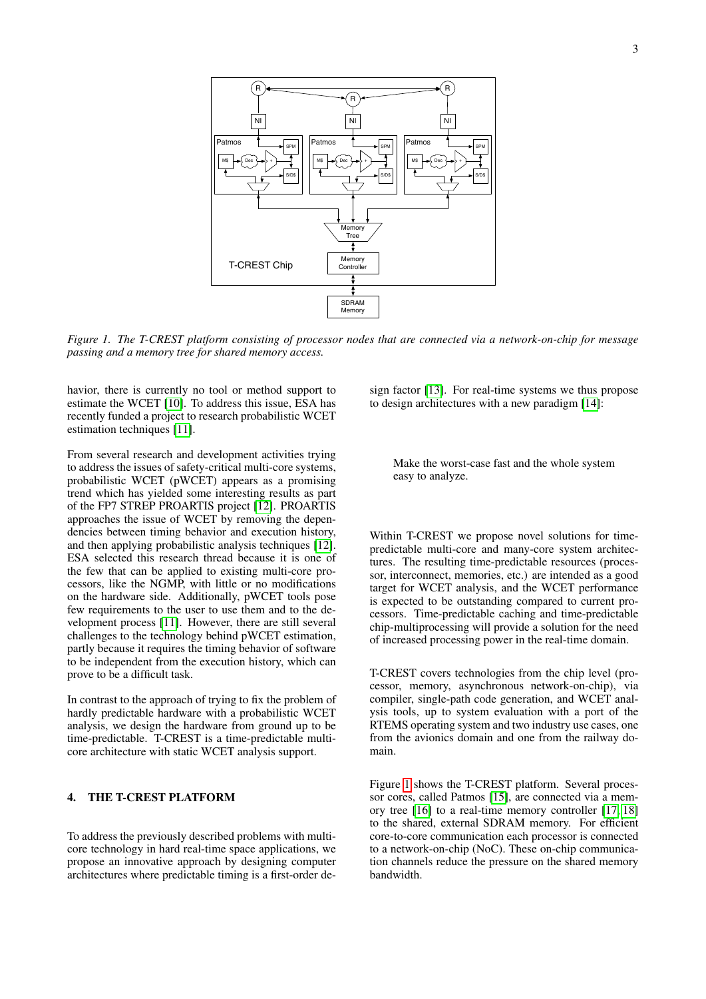

<span id="page-2-1"></span>*Figure 1. The T-CREST platform consisting of processor nodes that are connected via a network-on-chip for message passing and a memory tree for shared memory access.*

havior, there is currently no tool or method support to estimate the WCET [\[10\]](#page-6-7). To address this issue, ESA has recently funded a project to research probabilistic WCET estimation techniques [\[11\]](#page-6-8).

From several research and development activities trying to address the issues of safety-critical multi-core systems, probabilistic WCET (pWCET) appears as a promising trend which has yielded some interesting results as part of the FP7 STREP PROARTIS project [\[12\]](#page-6-9). PROARTIS approaches the issue of WCET by removing the dependencies between timing behavior and execution history, and then applying probabilistic analysis techniques [\[12\]](#page-6-9). ESA selected this research thread because it is one of the few that can be applied to existing multi-core processors, like the NGMP, with little or no modifications on the hardware side. Additionally, pWCET tools pose few requirements to the user to use them and to the development process [\[11\]](#page-6-8). However, there are still several challenges to the technology behind pWCET estimation, partly because it requires the timing behavior of software to be independent from the execution history, which can prove to be a difficult task.

In contrast to the approach of trying to fix the problem of hardly predictable hardware with a probabilistic WCET analysis, we design the hardware from ground up to be time-predictable. T-CREST is a time-predictable multicore architecture with static WCET analysis support.

## <span id="page-2-0"></span>4. THE T-CREST PLATFORM

To address the previously described problems with multicore technology in hard real-time space applications, we propose an innovative approach by designing computer architectures where predictable timing is a first-order design factor [\[13\]](#page-6-10). For real-time systems we thus propose to design architectures with a new paradigm [\[14\]](#page-6-11):

Make the worst-case fast and the whole system easy to analyze.

Within T-CREST we propose novel solutions for timepredictable multi-core and many-core system architectures. The resulting time-predictable resources (processor, interconnect, memories, etc.) are intended as a good target for WCET analysis, and the WCET performance is expected to be outstanding compared to current processors. Time-predictable caching and time-predictable chip-multiprocessing will provide a solution for the need of increased processing power in the real-time domain.

T-CREST covers technologies from the chip level (processor, memory, asynchronous network-on-chip), via compiler, single-path code generation, and WCET analysis tools, up to system evaluation with a port of the RTEMS operating system and two industry use cases, one from the avionics domain and one from the railway domain.

Figure [1](#page-2-1) shows the T-CREST platform. Several processor cores, called Patmos [\[15\]](#page-6-12), are connected via a memory tree [\[16\]](#page-6-13) to a real-time memory controller [\[17,](#page-6-14) [18\]](#page-6-15) to the shared, external SDRAM memory. For efficient core-to-core communication each processor is connected to a network-on-chip (NoC). These on-chip communication channels reduce the pressure on the shared memory bandwidth.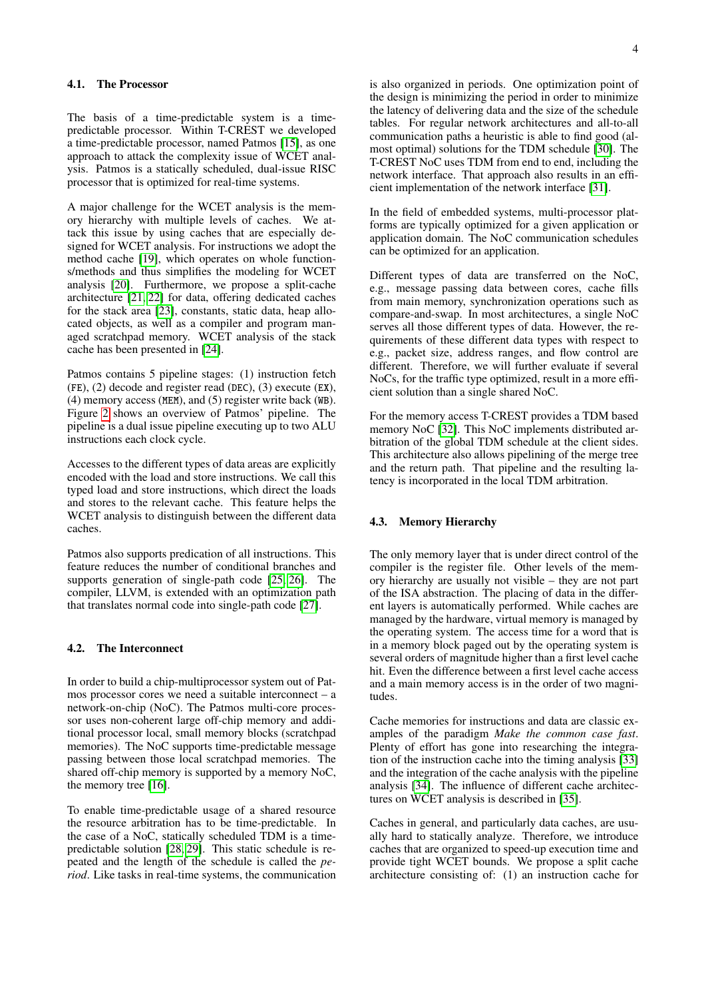The basis of a time-predictable system is a timepredictable processor. Within T-CREST we developed a time-predictable processor, named Patmos [\[15\]](#page-6-12), as one approach to attack the complexity issue of WCET analysis. Patmos is a statically scheduled, dual-issue RISC processor that is optimized for real-time systems.

A major challenge for the WCET analysis is the memory hierarchy with multiple levels of caches. We attack this issue by using caches that are especially designed for WCET analysis. For instructions we adopt the method cache [\[19\]](#page-6-16), which operates on whole functions/methods and thus simplifies the modeling for WCET analysis [\[20\]](#page-6-17). Furthermore, we propose a split-cache architecture [\[21,](#page-6-18) [22\]](#page-6-19) for data, offering dedicated caches for the stack area [\[23\]](#page-6-20), constants, static data, heap allocated objects, as well as a compiler and program managed scratchpad memory. WCET analysis of the stack cache has been presented in [\[24\]](#page-6-21).

Patmos contains 5 pipeline stages: (1) instruction fetch (FE), (2) decode and register read (DEC), (3) execute (EX), (4) memory access (MEM), and (5) register write back (WB). Figure [2](#page-4-1) shows an overview of Patmos' pipeline. The pipeline is a dual issue pipeline executing up to two ALU instructions each clock cycle.

Accesses to the different types of data areas are explicitly encoded with the load and store instructions. We call this typed load and store instructions, which direct the loads and stores to the relevant cache. This feature helps the WCET analysis to distinguish between the different data caches.

Patmos also supports predication of all instructions. This feature reduces the number of conditional branches and supports generation of single-path code [\[25,](#page-6-22) [26\]](#page-6-23). The compiler, LLVM, is extended with an optimization path that translates normal code into single-path code [\[27\]](#page-7-0).

#### 4.2. The Interconnect

In order to build a chip-multiprocessor system out of Patmos processor cores we need a suitable interconnect – a network-on-chip (NoC). The Patmos multi-core processor uses non-coherent large off-chip memory and additional processor local, small memory blocks (scratchpad memories). The NoC supports time-predictable message passing between those local scratchpad memories. The shared off-chip memory is supported by a memory NoC, the memory tree [\[16\]](#page-6-13).

To enable time-predictable usage of a shared resource the resource arbitration has to be time-predictable. In the case of a NoC, statically scheduled TDM is a timepredictable solution [\[28,](#page-7-1) [29\]](#page-7-2). This static schedule is repeated and the length of the schedule is called the *period*. Like tasks in real-time systems, the communication is also organized in periods. One optimization point of the design is minimizing the period in order to minimize the latency of delivering data and the size of the schedule tables. For regular network architectures and all-to-all communication paths a heuristic is able to find good (almost optimal) solutions for the TDM schedule [\[30\]](#page-7-3). The T-CREST NoC uses TDM from end to end, including the network interface. That approach also results in an efficient implementation of the network interface [\[31\]](#page-7-4).

In the field of embedded systems, multi-processor platforms are typically optimized for a given application or application domain. The NoC communication schedules can be optimized for an application.

Different types of data are transferred on the NoC, e.g., message passing data between cores, cache fills from main memory, synchronization operations such as compare-and-swap. In most architectures, a single NoC serves all those different types of data. However, the requirements of these different data types with respect to e.g., packet size, address ranges, and flow control are different. Therefore, we will further evaluate if several NoCs, for the traffic type optimized, result in a more efficient solution than a single shared NoC.

For the memory access T-CREST provides a TDM based memory NoC [\[32\]](#page-7-5). This NoC implements distributed arbitration of the global TDM schedule at the client sides. This architecture also allows pipelining of the merge tree and the return path. That pipeline and the resulting latency is incorporated in the local TDM arbitration.

#### 4.3. Memory Hierarchy

The only memory layer that is under direct control of the compiler is the register file. Other levels of the memory hierarchy are usually not visible – they are not part of the ISA abstraction. The placing of data in the different layers is automatically performed. While caches are managed by the hardware, virtual memory is managed by the operating system. The access time for a word that is in a memory block paged out by the operating system is several orders of magnitude higher than a first level cache hit. Even the difference between a first level cache access and a main memory access is in the order of two magnitudes.

Cache memories for instructions and data are classic examples of the paradigm *Make the common case fast*. Plenty of effort has gone into researching the integration of the instruction cache into the timing analysis [\[33\]](#page-7-6) and the integration of the cache analysis with the pipeline analysis [\[34\]](#page-7-7). The influence of different cache architectures on WCET analysis is described in [\[35\]](#page-7-8).

Caches in general, and particularly data caches, are usually hard to statically analyze. Therefore, we introduce caches that are organized to speed-up execution time and provide tight WCET bounds. We propose a split cache architecture consisting of: (1) an instruction cache for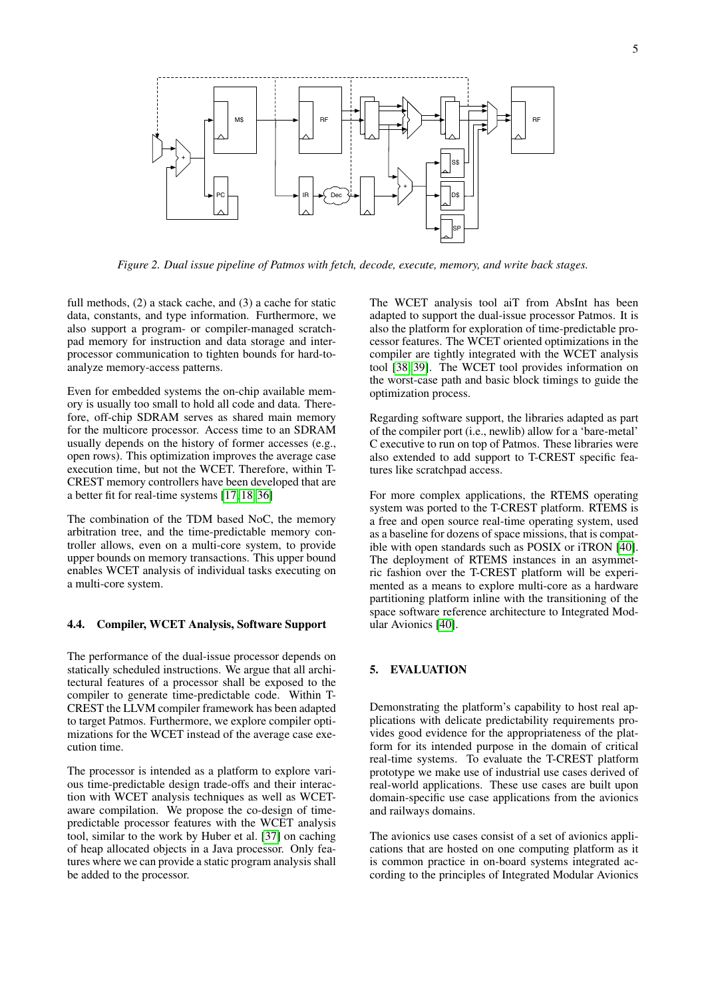

<span id="page-4-1"></span>*Figure 2. Dual issue pipeline of Patmos with fetch, decode, execute, memory, and write back stages.*

full methods, (2) a stack cache, and (3) a cache for static data, constants, and type information. Furthermore, we also support a program- or compiler-managed scratchpad memory for instruction and data storage and interprocessor communication to tighten bounds for hard-toanalyze memory-access patterns.

Even for embedded systems the on-chip available memory is usually too small to hold all code and data. Therefore, off-chip SDRAM serves as shared main memory for the multicore processor. Access time to an SDRAM usually depends on the history of former accesses (e.g., open rows). This optimization improves the average case execution time, but not the WCET. Therefore, within T-CREST memory controllers have been developed that are a better fit for real-time systems [\[17,](#page-6-14) [18,](#page-6-15) [36\]](#page-7-9)

The combination of the TDM based NoC, the memory arbitration tree, and the time-predictable memory controller allows, even on a multi-core system, to provide upper bounds on memory transactions. This upper bound enables WCET analysis of individual tasks executing on a multi-core system.

### 4.4. Compiler, WCET Analysis, Software Support

The performance of the dual-issue processor depends on statically scheduled instructions. We argue that all architectural features of a processor shall be exposed to the compiler to generate time-predictable code. Within T-CREST the LLVM compiler framework has been adapted to target Patmos. Furthermore, we explore compiler optimizations for the WCET instead of the average case execution time.

The processor is intended as a platform to explore various time-predictable design trade-offs and their interaction with WCET analysis techniques as well as WCETaware compilation. We propose the co-design of timepredictable processor features with the WCET analysis tool, similar to the work by Huber et al. [\[37\]](#page-7-10) on caching of heap allocated objects in a Java processor. Only features where we can provide a static program analysis shall be added to the processor.

The WCET analysis tool aiT from AbsInt has been adapted to support the dual-issue processor Patmos. It is also the platform for exploration of time-predictable processor features. The WCET oriented optimizations in the compiler are tightly integrated with the WCET analysis tool [\[38,](#page-7-11) [39\]](#page-7-12). The WCET tool provides information on the worst-case path and basic block timings to guide the optimization process.

Regarding software support, the libraries adapted as part of the compiler port (i.e., newlib) allow for a 'bare-metal' C executive to run on top of Patmos. These libraries were also extended to add support to T-CREST specific features like scratchpad access.

For more complex applications, the RTEMS operating system was ported to the T-CREST platform. RTEMS is a free and open source real-time operating system, used as a baseline for dozens of space missions, that is compatible with open standards such as POSIX or iTRON [\[40\]](#page-7-13). The deployment of RTEMS instances in an asymmetric fashion over the T-CREST platform will be experimented as a means to explore multi-core as a hardware partitioning platform inline with the transitioning of the space software reference architecture to Integrated Modular Avionics [\[40\]](#page-7-13).

## <span id="page-4-0"></span>5. EVALUATION

Demonstrating the platform's capability to host real applications with delicate predictability requirements provides good evidence for the appropriateness of the platform for its intended purpose in the domain of critical real-time systems. To evaluate the T-CREST platform prototype we make use of industrial use cases derived of real-world applications. These use cases are built upon domain-specific use case applications from the avionics and railways domains.

The avionics use cases consist of a set of avionics applications that are hosted on one computing platform as it is common practice in on-board systems integrated according to the principles of Integrated Modular Avionics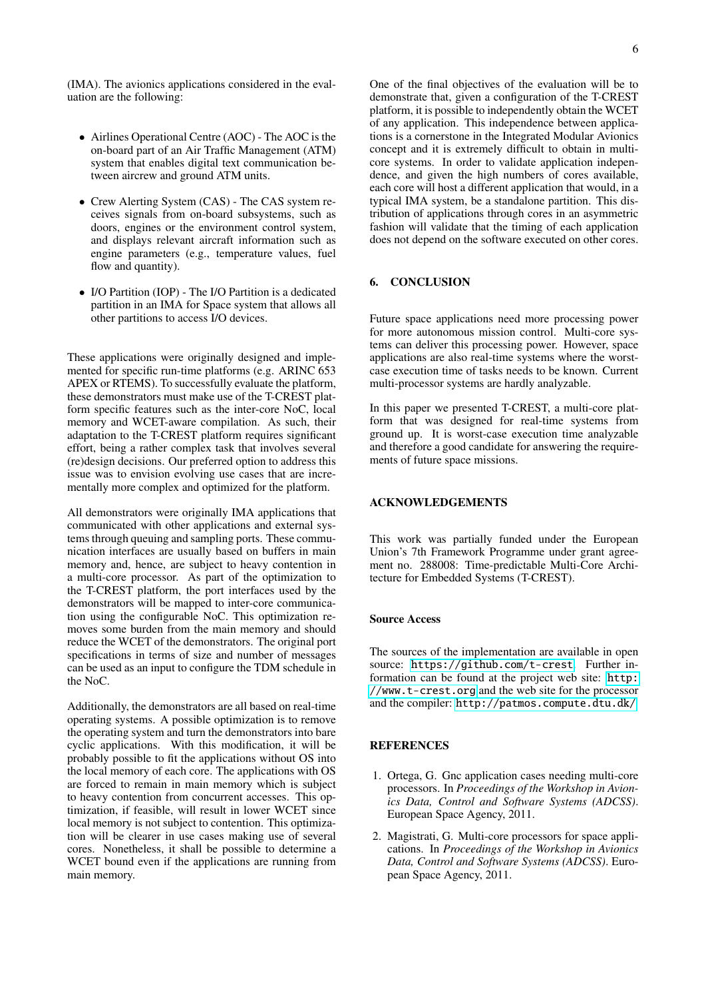(IMA). The avionics applications considered in the evaluation are the following:

- Airlines Operational Centre (AOC) The AOC is the on-board part of an Air Traffic Management (ATM) system that enables digital text communication between aircrew and ground ATM units.
- Crew Alerting System (CAS) The CAS system receives signals from on-board subsystems, such as doors, engines or the environment control system, and displays relevant aircraft information such as engine parameters (e.g., temperature values, fuel flow and quantity).
- I/O Partition (IOP) The I/O Partition is a dedicated partition in an IMA for Space system that allows all other partitions to access I/O devices.

These applications were originally designed and implemented for specific run-time platforms (e.g. ARINC 653 APEX or RTEMS). To successfully evaluate the platform, these demonstrators must make use of the T-CREST platform specific features such as the inter-core NoC, local memory and WCET-aware compilation. As such, their adaptation to the T-CREST platform requires significant effort, being a rather complex task that involves several (re)design decisions. Our preferred option to address this issue was to envision evolving use cases that are incrementally more complex and optimized for the platform.

All demonstrators were originally IMA applications that communicated with other applications and external systems through queuing and sampling ports. These communication interfaces are usually based on buffers in main memory and, hence, are subject to heavy contention in a multi-core processor. As part of the optimization to the T-CREST platform, the port interfaces used by the demonstrators will be mapped to inter-core communication using the configurable NoC. This optimization removes some burden from the main memory and should reduce the WCET of the demonstrators. The original port specifications in terms of size and number of messages can be used as an input to configure the TDM schedule in the NoC.

Additionally, the demonstrators are all based on real-time operating systems. A possible optimization is to remove the operating system and turn the demonstrators into bare cyclic applications. With this modification, it will be probably possible to fit the applications without OS into the local memory of each core. The applications with OS are forced to remain in main memory which is subject to heavy contention from concurrent accesses. This optimization, if feasible, will result in lower WCET since local memory is not subject to contention. This optimization will be clearer in use cases making use of several cores. Nonetheless, it shall be possible to determine a WCET bound even if the applications are running from main memory.

One of the final objectives of the evaluation will be to demonstrate that, given a configuration of the T-CREST platform, it is possible to independently obtain the WCET of any application. This independence between applications is a cornerstone in the Integrated Modular Avionics concept and it is extremely difficult to obtain in multicore systems. In order to validate application independence, and given the high numbers of cores available, each core will host a different application that would, in a typical IMA system, be a standalone partition. This distribution of applications through cores in an asymmetric fashion will validate that the timing of each application does not depend on the software executed on other cores.

### <span id="page-5-2"></span>6. CONCLUSION

Future space applications need more processing power for more autonomous mission control. Multi-core systems can deliver this processing power. However, space applications are also real-time systems where the worstcase execution time of tasks needs to be known. Current multi-processor systems are hardly analyzable.

In this paper we presented T-CREST, a multi-core platform that was designed for real-time systems from ground up. It is worst-case execution time analyzable and therefore a good candidate for answering the requirements of future space missions.

#### ACKNOWLEDGEMENTS

This work was partially funded under the European Union's 7th Framework Programme under grant agreement no. 288008: Time-predictable Multi-Core Architecture for Embedded Systems (T-CREST).

#### Source Access

The sources of the implementation are available in open source: <https://github.com/t-crest>. Further information can be found at the project web site: [http:](http://www.t-crest.org) [//www.t-crest.org](http://www.t-crest.org) and the web site for the processor and the compiler: <http://patmos.compute.dtu.dk/>

## **REFERENCES**

- <span id="page-5-0"></span>1. Ortega, G. Gnc application cases needing multi-core processors. In *Proceedings of the Workshop in Avionics Data, Control and Software Systems (ADCSS)*. European Space Agency, 2011.
- <span id="page-5-1"></span>2. Magistrati, G. Multi-core processors for space applications. In *Proceedings of the Workshop in Avionics Data, Control and Software Systems (ADCSS)*. European Space Agency, 2011.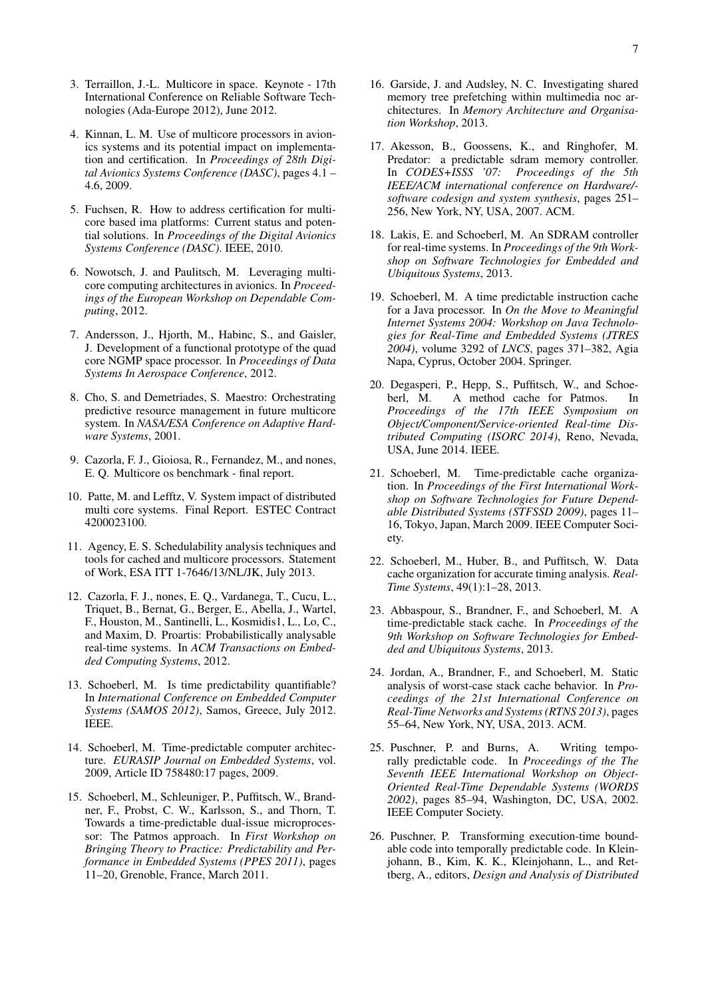- <span id="page-6-0"></span>3. Terraillon, J.-L. Multicore in space. Keynote - 17th International Conference on Reliable Software Technologies (Ada-Europe 2012), June 2012.
- <span id="page-6-1"></span>4. Kinnan, L. M. Use of multicore processors in avionics systems and its potential impact on implementation and certification. In *Proceedings of 28th Digital Avionics Systems Conference (DASC)*, pages 4.1 – 4.6, 2009.
- <span id="page-6-2"></span>5. Fuchsen, R. How to address certification for multicore based ima platforms: Current status and potential solutions. In *Proceedings of the Digital Avionics Systems Conference (DASC)*. IEEE, 2010.
- <span id="page-6-3"></span>6. Nowotsch, J. and Paulitsch, M. Leveraging multicore computing architectures in avionics. In *Proceedings of the European Workshop on Dependable Computing*, 2012.
- <span id="page-6-4"></span>7. Andersson, J., Hjorth, M., Habinc, S., and Gaisler, J. Development of a functional prototype of the quad core NGMP space processor. In *Proceedings of Data Systems In Aerospace Conference*, 2012.
- <span id="page-6-5"></span>8. Cho, S. and Demetriades, S. Maestro: Orchestrating predictive resource management in future multicore system. In *NASA/ESA Conference on Adaptive Hardware Systems*, 2001.
- <span id="page-6-6"></span>9. Cazorla, F. J., Gioiosa, R., Fernandez, M., and nones, E. Q. Multicore os benchmark - final report.
- <span id="page-6-7"></span>10. Patte, M. and Lefftz, V. System impact of distributed multi core systems. Final Report. ESTEC Contract 4200023100.
- <span id="page-6-8"></span>11. Agency, E. S. Schedulability analysis techniques and tools for cached and multicore processors. Statement of Work, ESA ITT 1-7646/13/NL/JK, July 2013.
- <span id="page-6-9"></span>12. Cazorla, F. J., nones, E. Q., Vardanega, T., Cucu, L., Triquet, B., Bernat, G., Berger, E., Abella, J., Wartel, F., Houston, M., Santinelli, L., Kosmidis1, L., Lo, C., and Maxim, D. Proartis: Probabilistically analysable real-time systems. In *ACM Transactions on Embedded Computing Systems*, 2012.
- <span id="page-6-10"></span>13. Schoeberl, M. Is time predictability quantifiable? In *International Conference on Embedded Computer Systems (SAMOS 2012)*, Samos, Greece, July 2012. IEEE.
- <span id="page-6-11"></span>14. Schoeberl, M. Time-predictable computer architecture. *EURASIP Journal on Embedded Systems*, vol. 2009, Article ID 758480:17 pages, 2009.
- <span id="page-6-12"></span>15. Schoeberl, M., Schleuniger, P., Puffitsch, W., Brandner, F., Probst, C. W., Karlsson, S., and Thorn, T. Towards a time-predictable dual-issue microprocessor: The Patmos approach. In *First Workshop on Bringing Theory to Practice: Predictability and Performance in Embedded Systems (PPES 2011)*, pages 11–20, Grenoble, France, March 2011.
- <span id="page-6-13"></span>16. Garside, J. and Audsley, N. C. Investigating shared memory tree prefetching within multimedia noc architectures. In *Memory Architecture and Organisation Workshop*, 2013.
- <span id="page-6-14"></span>17. Akesson, B., Goossens, K., and Ringhofer, M. Predator: a predictable sdram memory controller. In *CODES+ISSS '07: Proceedings of the 5th IEEE/ACM international conference on Hardware/ software codesign and system synthesis*, pages 251– 256, New York, NY, USA, 2007. ACM.
- <span id="page-6-15"></span>18. Lakis, E. and Schoeberl, M. An SDRAM controller for real-time systems. In *Proceedings of the 9th Workshop on Software Technologies for Embedded and Ubiquitous Systems*, 2013.
- <span id="page-6-16"></span>19. Schoeberl, M. A time predictable instruction cache for a Java processor. In *On the Move to Meaningful Internet Systems 2004: Workshop on Java Technologies for Real-Time and Embedded Systems (JTRES 2004)*, volume 3292 of *LNCS*, pages 371–382, Agia Napa, Cyprus, October 2004. Springer.
- <span id="page-6-17"></span>20. Degasperi, P., Hepp, S., Puffitsch, W., and Schoe-A method cache for Patmos. In *Proceedings of the 17th IEEE Symposium on Object/Component/Service-oriented Real-time Distributed Computing (ISORC 2014)*, Reno, Nevada, USA, June 2014. IEEE.
- <span id="page-6-18"></span>21. Schoeberl, M. Time-predictable cache organization. In *Proceedings of the First International Workshop on Software Technologies for Future Dependable Distributed Systems (STFSSD 2009)*, pages 11– 16, Tokyo, Japan, March 2009. IEEE Computer Society.
- <span id="page-6-19"></span>22. Schoeberl, M., Huber, B., and Puffitsch, W. Data cache organization for accurate timing analysis. *Real-Time Systems*, 49(1):1–28, 2013.
- <span id="page-6-20"></span>23. Abbaspour, S., Brandner, F., and Schoeberl, M. A time-predictable stack cache. In *Proceedings of the 9th Workshop on Software Technologies for Embedded and Ubiquitous Systems*, 2013.
- <span id="page-6-21"></span>24. Jordan, A., Brandner, F., and Schoeberl, M. Static analysis of worst-case stack cache behavior. In *Proceedings of the 21st International Conference on Real-Time Networks and Systems (RTNS 2013)*, pages 55–64, New York, NY, USA, 2013. ACM.
- <span id="page-6-22"></span>25. Puschner, P. and Burns, A. Writing temporally predictable code. In *Proceedings of the The Seventh IEEE International Workshop on Object-Oriented Real-Time Dependable Systems (WORDS 2002)*, pages 85–94, Washington, DC, USA, 2002. IEEE Computer Society.
- <span id="page-6-23"></span>26. Puschner, P. Transforming execution-time boundable code into temporally predictable code. In Kleinjohann, B., Kim, K. K., Kleinjohann, L., and Rettberg, A., editors, *Design and Analysis of Distributed*